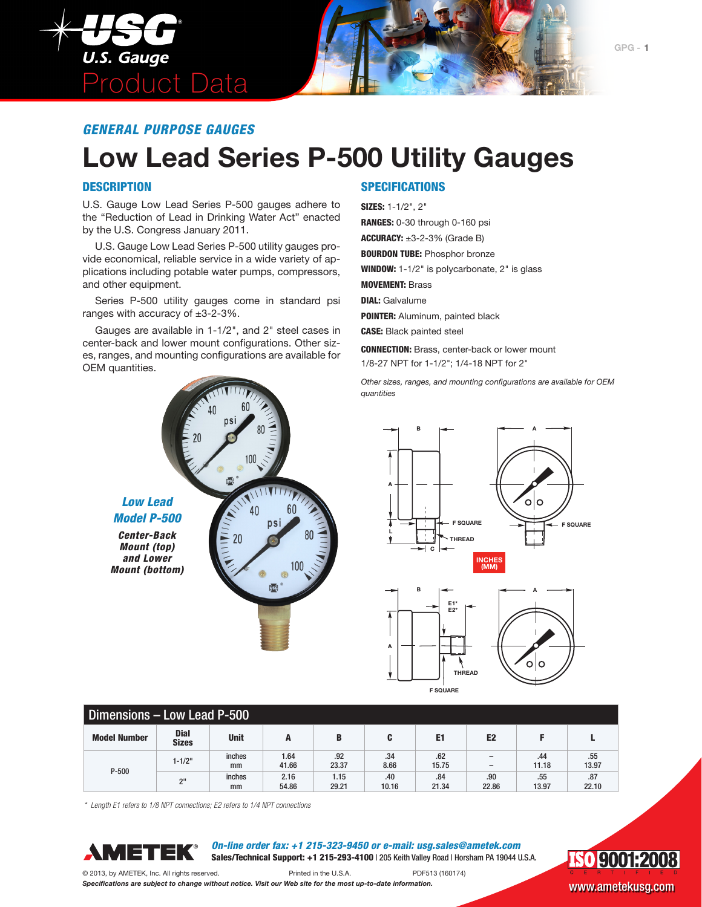

### **Low Lead Series P-500 Utility Gauges**

#### **DESCRIPTION**

U.S. Gauge Low Lead Series P-500 gauges adhere to the "Reduction of Lead in Drinking Water Act" enacted by the U.S. Congress January 2011.

U.S. Gauge Low Lead Series P-500 utility gauges provide economical, reliable service in a wide variety of applications including potable water pumps, compressors, and other equipment.

Series P-500 utility gauges come in standard psi ranges with accuracy of  $\pm 3$ -2-3%.

Gauges are available in 1-1/2", and 2" steel cases in center-back and lower mount configurations. Other sizes, ranges, and mounting configurations are available for OEM quantities.

100

40

ps

**Disci**<sup>®</sup>

ņsć

 $20$ 

### **SPECIFICATIONS**

#### SIZES: 1-1/2", 2"

RANGES: 0-30 through 0-160 psi ACCURACY:  $\pm 3$ -2-3% (Grade B) **BOURDON TUBE: Phosphor bronze** WINDOW: 1-1/2" is polycarbonate, 2" is glass MOVEMENT: Brass DIAL: Galvalume POINTER: Aluminum, painted black CASE: Black painted steel CONNECTION: Brass, center-back or lower mount

1/8-27 NPT for 1-1/2"; 1/4-18 NPT for 2"

*Other sizes, ranges, and mounting configurations are available for OEM quantities*



**F SQUARE**

| Dimensions - Low Lead P-500 |                             |              |               |               |              |                |                                                      |              |              |
|-----------------------------|-----------------------------|--------------|---------------|---------------|--------------|----------------|------------------------------------------------------|--------------|--------------|
| <b>Model Number</b>         | <b>Dial</b><br><b>Sizes</b> | <b>Unit</b>  | A             | B             |              | E <sub>1</sub> | E <sub>2</sub>                                       |              |              |
|                             | $1 - 1/2"$                  | inches<br>mm | 1.64<br>41.66 | .92<br>23.37  | .34<br>8.66  | .62<br>15.75   | $\overline{\phantom{0}}$<br>$\overline{\phantom{0}}$ | .44<br>11.18 | .55<br>13.97 |
| $P - 500$                   | 2 <sup>II</sup>             | inches<br>mm | 2.16<br>54.86 | 1.15<br>29.21 | .40<br>10.16 | .84<br>21.34   | .90<br>22.86                                         | .55<br>13.97 | .87<br>22.10 |

*\* Length E1 refers to 1/8 NPT connections; E2 refers to 1/4 NPT connections*



*Low Lead Model P-500 Center-Back Mount (top) and Lower Mount (bottom)*

> *On-line order fax: +1 215-323-9450 or e-mail: usg.sales@ametek.com* Sales/Technical Support: +1 215-293-4100 | 205 Keith Valley Road | Horsham PA 19044 U.S.A.



© 2013, by AMETEK, Inc. All rights reserved. Printed in the U.S.A. PDF513 (160174) *Specifications are subject to change without notice. Visit our Web site for the most up-to-date information.* WWW.ametekusg.com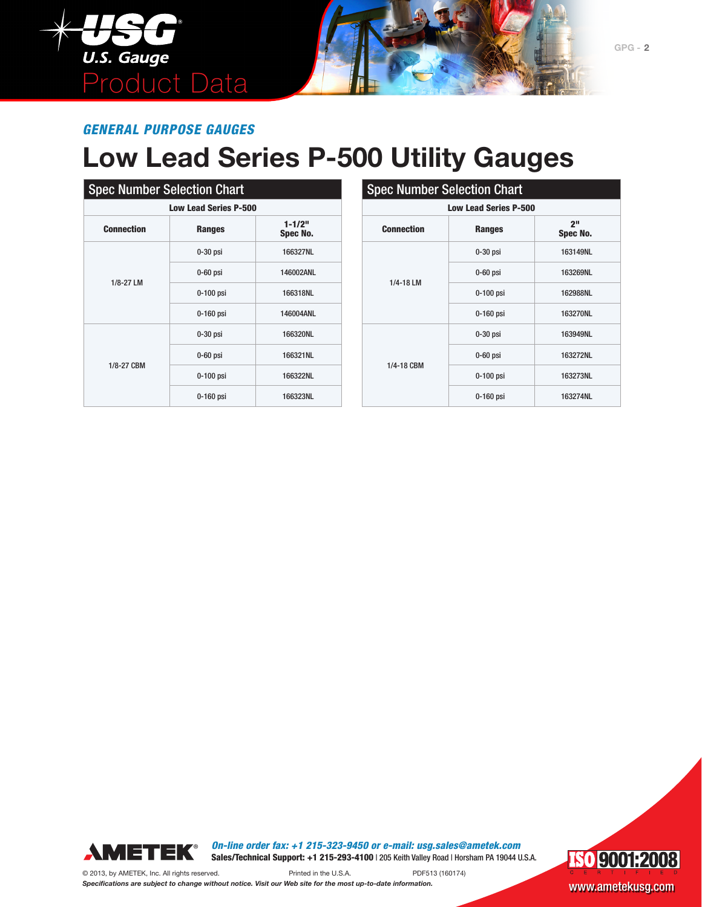

# **Low Lead Series P-500 Utility Gauges**

| <b>Spec Number Selection Chart</b> |               |                        |  |  |  |  |
|------------------------------------|---------------|------------------------|--|--|--|--|
| <b>Low Lead Series P-500</b>       |               |                        |  |  |  |  |
| <b>Connection</b>                  | <b>Ranges</b> | $1 - 1/2"$<br>Spec No. |  |  |  |  |
|                                    | $0-30$ psi    | 166327NL               |  |  |  |  |
|                                    | $0-60$ psi    | 146002ANL              |  |  |  |  |
| 1/8-27 LM                          | $0-100$ psi   | 166318NL               |  |  |  |  |
|                                    | $0-160$ psi   | 146004ANL              |  |  |  |  |
|                                    | $0-30$ psi    | 166320NL               |  |  |  |  |
| 1/8-27 CBM                         | $0-60$ psi    | 166321NL               |  |  |  |  |
|                                    | 0-100 psi     | 166322NL               |  |  |  |  |
|                                    | 0-160 psi     | 166323NL               |  |  |  |  |

| <b>Spec Number Selection Chart</b><br><b>Low Lead Series P-500</b> |             |          |  |  |  |  |
|--------------------------------------------------------------------|-------------|----------|--|--|--|--|
|                                                                    |             |          |  |  |  |  |
|                                                                    | $0-30$ psi  | 163149NL |  |  |  |  |
|                                                                    | $0-60$ psi  | 163269NL |  |  |  |  |
| 1/4-18 LM                                                          | 0-100 psi   | 162988NL |  |  |  |  |
|                                                                    | 0-160 psi   | 163270NL |  |  |  |  |
|                                                                    | $0-30$ psi  | 163949NL |  |  |  |  |
|                                                                    | $0-60$ psi  | 163272NL |  |  |  |  |
| 1/4-18 CBM                                                         | $0-100$ psi | 163273NL |  |  |  |  |
|                                                                    | $0-160$ psi | 163274NL |  |  |  |  |



*On-line order fax: +1 215-323-9450 or e-mail: usg.sales@ametek.com* Sales/Technical Support: +1 215-293-4100 | 205 Keith Valley Road | Horsham PA 19044 U.S.A.

© 2013, by AMETEK, Inc. All rights reserved. Printed in the U.S.A. PDF513 (160174)

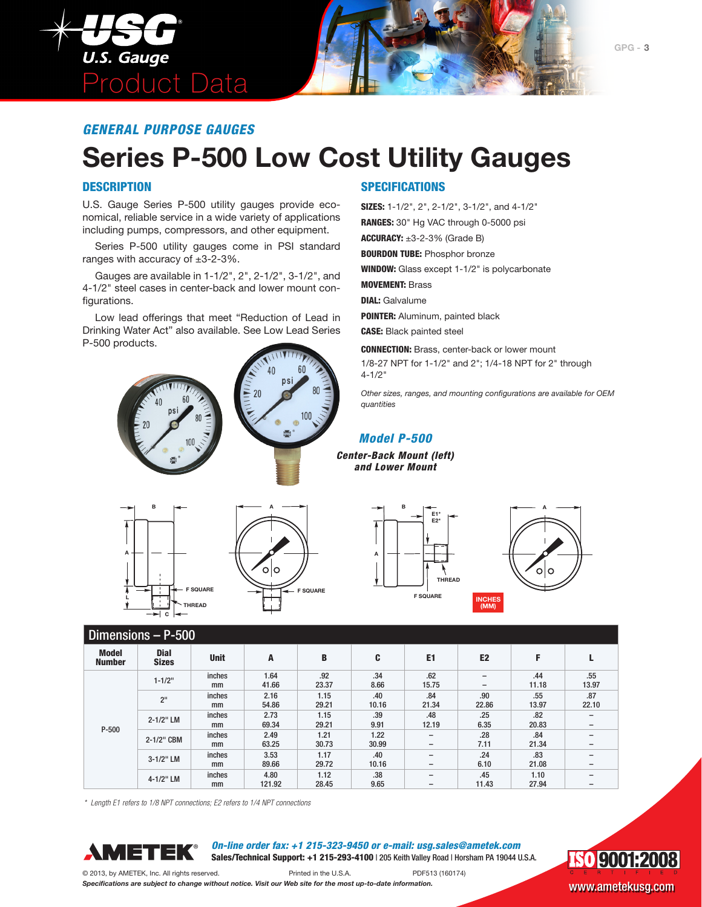

## **Series P-500 Low Cost Utility Gauges**

#### **DESCRIPTION**

U.S. Gauge Series P-500 utility gauges provide economical, reliable service in a wide variety of applications including pumps, compressors, and other equipment.

Series P-500 utility gauges come in PSI standard ranges with accuracy of ±3-2-3%.

Gauges are available in 1-1/2", 2", 2-1/2", 3-1/2", and 4-1/2" steel cases in center-back and lower mount configurations.

Low lead offerings that meet "Reduction of Lead in Drinking Water Act" also available. See Low Lead Series P-500 products.





### **SPECIFICATIONS**

SIZES: 1-1/2", 2", 2-1/2", 3-1/2", and 4-1/2" RANGES: 30" Hg VAC through 0-5000 psi

ACCURACY:  $\pm 3$ -2-3% (Grade B)

**BOURDON TUBE: Phosphor bronze** 

WINDOW: Glass except 1-1/2" is polycarbonate

MOVEMENT: Brass

DIAL: Galvalume

POINTER: Aluminum, painted black

CASE: Black painted steel

CONNECTION: Brass, center-back or lower mount 1/8-27 NPT for 1-1/2" and 2"; 1/4-18 NPT for 2" through 4-1/2"

*Other sizes, ranges, and mounting configurations are available for OEM quantities*

#### *Model P-500*

*Center-Back Mount (left) and Lower Mount*









### $\overline{\phantom{a}}$  Dimensions  $\overline{\phantom{a}}$  P-500

| <b>PRINTING INTIAL</b>               |                             |               |                |               |                               |                                                      |                                                      |               |                               |
|--------------------------------------|-----------------------------|---------------|----------------|---------------|-------------------------------|------------------------------------------------------|------------------------------------------------------|---------------|-------------------------------|
| <b>Model</b><br><b>Number</b>        | <b>Dial</b><br><b>Sizes</b> | <b>Unit</b>   | A              | B             | C.                            | E1                                                   | E <sub>2</sub>                                       | F             |                               |
| $1 - 1/2"$                           |                             | inches<br>mm  | 1.64<br>41.66  | .92<br>23.37  | .34<br>8.66                   | .62<br>15.75                                         | $\overline{\phantom{0}}$<br>$\overline{\phantom{0}}$ | .44<br>11.18  | .55<br>13.97                  |
|                                      | 2 <sup>11</sup>             | inches<br>mm  | 2.16<br>54.86  | 1.15<br>29.21 | .40<br>10.16                  | .84<br>21.34                                         | .90<br>22.86                                         | .55<br>13.97  | .87<br>22.10                  |
| 2-1/2" LM<br>$P - 500$<br>2-1/2" CBM | inches<br>mm                | 2.73<br>69.34 | 1.15<br>29.21  | .39<br>9.91   | .48<br>12.19                  | .25<br>6.35                                          | .82<br>20.83                                         | -             |                               |
|                                      | inches<br>mm                | 2.49<br>63.25 | 1.21<br>30.73  | 1.22<br>30.99 | $\overline{\phantom{0}}$<br>- | .28<br>7.11                                          | .84<br>21.34                                         | -             |                               |
|                                      | 3-1/2" LM                   | inches<br>mm  | 3.53<br>89.66  | 1.17<br>29.72 | .40<br>10.16                  | $\overline{\phantom{0}}$<br>-                        | .24<br>6.10                                          | .83<br>21.08  | —<br>$\overline{\phantom{0}}$ |
|                                      | 4-1/2" LM                   | inches<br>mm  | 4.80<br>121.92 | 1.12<br>28.45 | .38 <sub>0</sub><br>9.65      | $\overline{\phantom{0}}$<br>$\overline{\phantom{0}}$ | .45<br>11.43                                         | 1.10<br>27.94 |                               |

*\* Length E1 refers to 1/8 NPT connections; E2 refers to 1/4 NPT connections*



*On-line order fax: +1 215-323-9450 or e-mail: usg.sales@ametek.com* Sales/Technical Support: +1 215-293-4100 | 205 Keith Valley Road | Horsham PA 19044 U.S.A.



© 2013, by AMETEK, Inc. All rights reserved. Printed in the U.S.A. PDF513 (160174) *Specifications are subject to change without notice. Visit our Web site for the most up-to-date information.* WWW.ametekusg.com